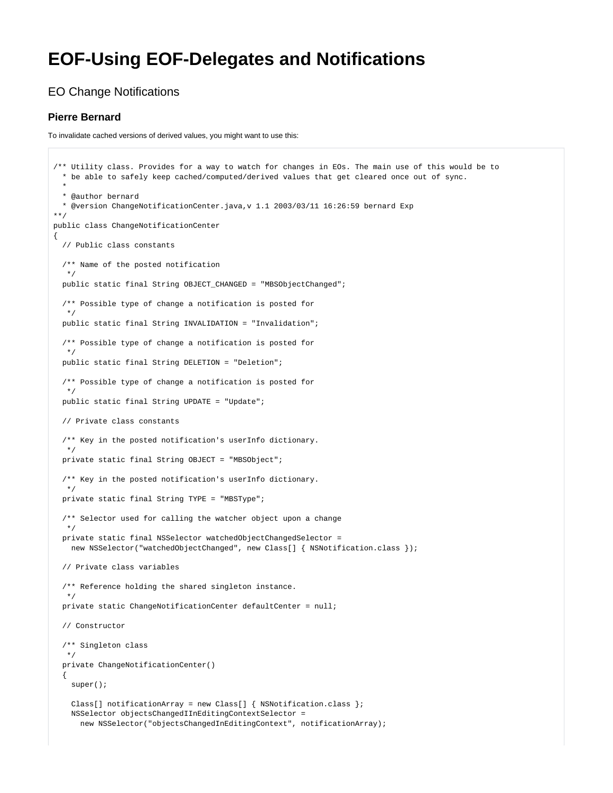## **EOF-Using EOF-Delegates and Notifications**

## EO Change Notifications

## **Pierre Bernard**

To invalidate cached versions of derived values, you might want to use this:

```
/** Utility class. Provides for a way to watch for changes in EOs. The main use of this would be to
  * be able to safely keep cached/computed/derived values that get cleared once out of sync.
 *
  * @author bernard
   * @version ChangeNotificationCenter.java,v 1.1 2003/03/11 16:26:59 bernard Exp
**/
public class ChangeNotificationCenter
{
  // Public class constants
  /** Name of the posted notification
 */
  public static final String OBJECT_CHANGED = "MBSObjectChanged";
  /** Possible type of change a notification is posted for
   */
  public static final String INVALIDATION = "Invalidation";
   /** Possible type of change a notification is posted for
   */
  public static final String DELETION = "Deletion";
   /** Possible type of change a notification is posted for
 */
  public static final String UPDATE = "Update";
  // Private class constants
   /** Key in the posted notification's userInfo dictionary.
   */
  private static final String OBJECT = "MBSObject";
   /** Key in the posted notification's userInfo dictionary.
 */
  private static final String TYPE = "MBSType";
   /** Selector used for calling the watcher object upon a change
 */
  private static final NSSelector watchedObjectChangedSelector =
   new NSSelector("watchedObjectChanged", new Class[] { NSNotification.class });
  // Private class variables
   /** Reference holding the shared singleton instance.
   */
  private static ChangeNotificationCenter defaultCenter = null;
  // Constructor
  /** Singleton class
 */
  private ChangeNotificationCenter()
 {
    super();
    Class[] notificationArray = new Class[] { NSNotification.class };
    NSSelector objectsChangedIInEditingContextSelector =
      new NSSelector("objectsChangedInEditingContext", notificationArray);
```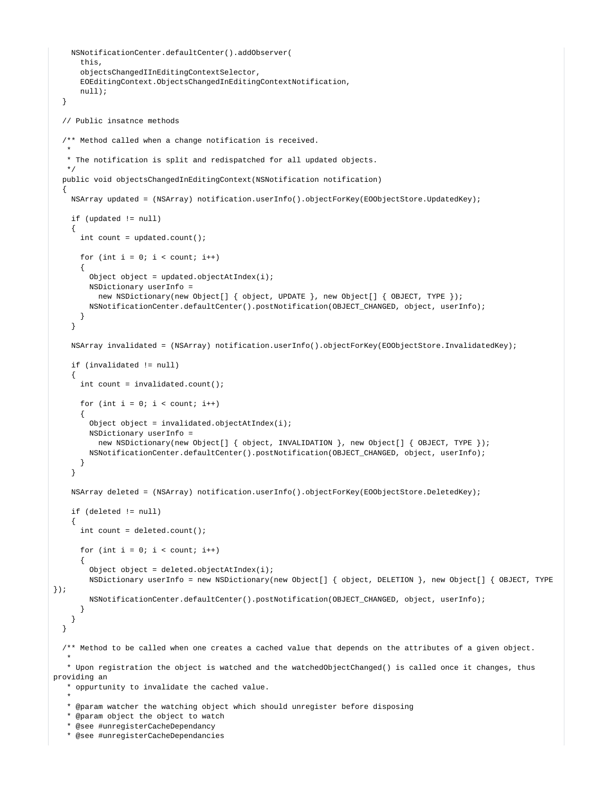```
 NSNotificationCenter.defaultCenter().addObserver(
       this,
       objectsChangedIInEditingContextSelector,
       EOEditingContext.ObjectsChangedInEditingContextNotification,
       null);
   }
   // Public insatnce methods
   /** Method called when a change notification is received.
***
    * The notification is split and redispatched for all updated objects.
 */
  public void objectsChangedInEditingContext(NSNotification notification)
 {
     NSArray updated = (NSArray) notification.userInfo().objectForKey(EOObjectStore.UpdatedKey);
     if (updated != null)
     {
       int count = updated.count();
      for (int i = 0; i < count; i+1)
\left\{ \begin{array}{ccc} & & \\ & & \end{array} \right.Object object = updated.objectAtIndex(i);
         NSDictionary userInfo =
           new NSDictionary(new Object[] { object, UPDATE }, new Object[] { OBJECT, TYPE });
         NSNotificationCenter.defaultCenter().postNotification(OBJECT_CHANGED, object, userInfo);
       }
     }
     NSArray invalidated = (NSArray) notification.userInfo().objectForKey(EOObjectStore.InvalidatedKey);
     if (invalidated != null)
\{ int count = invalidated.count();
      for (int i = 0; i < count; i++)\left\{ \begin{array}{ccc} & & \\ & & \end{array} \right.Object object = invalidated.objectAtIndex(i);
         NSDictionary userInfo =
          new NSDictionary(new Object[] { object, INVALIDATION }, new Object[] { OBJECT, TYPE });
         NSNotificationCenter.defaultCenter().postNotification(OBJECT_CHANGED, object, userInfo);
       }
     }
     NSArray deleted = (NSArray) notification.userInfo().objectForKey(EOObjectStore.DeletedKey);
     if (deleted != null)
     {
       int count = deleted.count();
      for (int i = 0; i < count; i+1)
\left\{ \begin{array}{ccc} & & \\ & & \end{array} \right. Object object = deleted.objectAtIndex(i);
         NSDictionary userInfo = new NSDictionary(new Object[] { object, DELETION }, new Object[] { OBJECT, TYPE 
});
         NSNotificationCenter.defaultCenter().postNotification(OBJECT_CHANGED, object, userInfo);
       }
     }
   }
   /** Method to be called when one creates a cached value that depends on the attributes of a given object.
***
    * Upon registration the object is watched and the watchedObjectChanged() is called once it changes, thus 
providing an
    * oppurtunity to invalidate the cached value.
***
    * @param watcher the watching object which should unregister before disposing
```

```
 * @param object the object to watch
```

```
 * @see #unregisterCacheDependancy
```

```
 * @see #unregisterCacheDependancies
```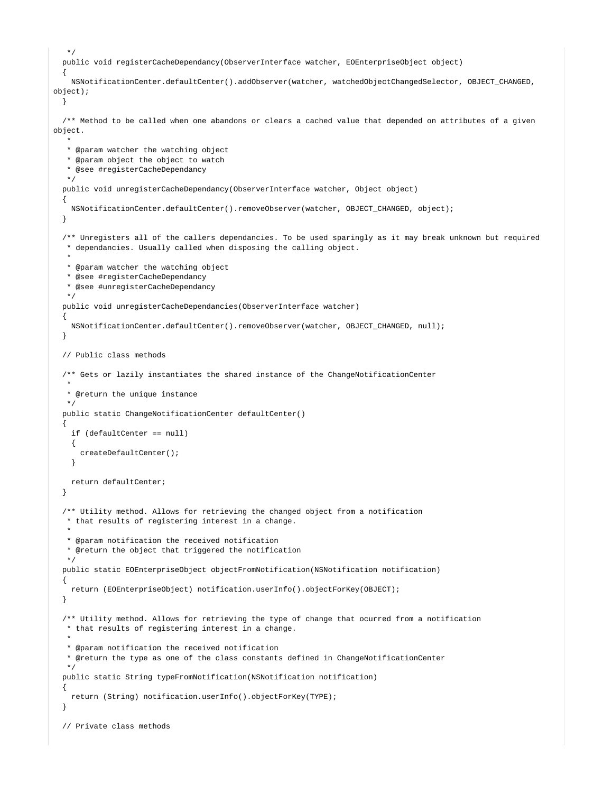```
 */
  public void registerCacheDependancy(ObserverInterface watcher, EOEnterpriseObject object)
 {
    NSNotificationCenter.defaultCenter().addObserver(watcher, watchedObjectChangedSelector, OBJECT_CHANGED, 
object);
  }
   /** Method to be called when one abandons or clears a cached value that depended on attributes of a given 
object.
***
   * @param watcher the watching object
   * @param object the object to watch
    * @see #registerCacheDependancy
 */
  public void unregisterCacheDependancy(ObserverInterface watcher, Object object)
 {
    NSNotificationCenter.defaultCenter().removeObserver(watcher, OBJECT_CHANGED, object);
  }
   /** Unregisters all of the callers dependancies. To be used sparingly as it may break unknown but required
   * dependancies. Usually called when disposing the calling object.
***
   * @param watcher the watching object
   * @see #registerCacheDependancy
   * @see #unregisterCacheDependancy
 */
  public void unregisterCacheDependancies(ObserverInterface watcher)
 {
    NSNotificationCenter.defaultCenter().removeObserver(watcher, OBJECT_CHANGED, null);
  }
  // Public class methods
   /** Gets or lazily instantiates the shared instance of the ChangeNotificationCenter
***
   * @return the unique instance
   */
  public static ChangeNotificationCenter defaultCenter()
   {
    if (defaultCenter == null)
    {
      createDefaultCenter();
    }
    return defaultCenter;
  }
  /** Utility method. Allows for retrieving the changed object from a notification
   * that results of registering interest in a change.
***
   * @param notification the received notification
   * @return the object that triggered the notification
 */
  public static EOEnterpriseObject objectFromNotification(NSNotification notification)
 {
    return (EOEnterpriseObject) notification.userInfo().objectForKey(OBJECT);
  }
   /** Utility method. Allows for retrieving the type of change that ocurred from a notification
   * that results of registering interest in a change.
***
   * @param notification the received notification
   * @return the type as one of the class constants defined in ChangeNotificationCenter
   */
  public static String typeFromNotification(NSNotification notification)
 {
    return (String) notification.userInfo().objectForKey(TYPE);
  }
  // Private class methods
```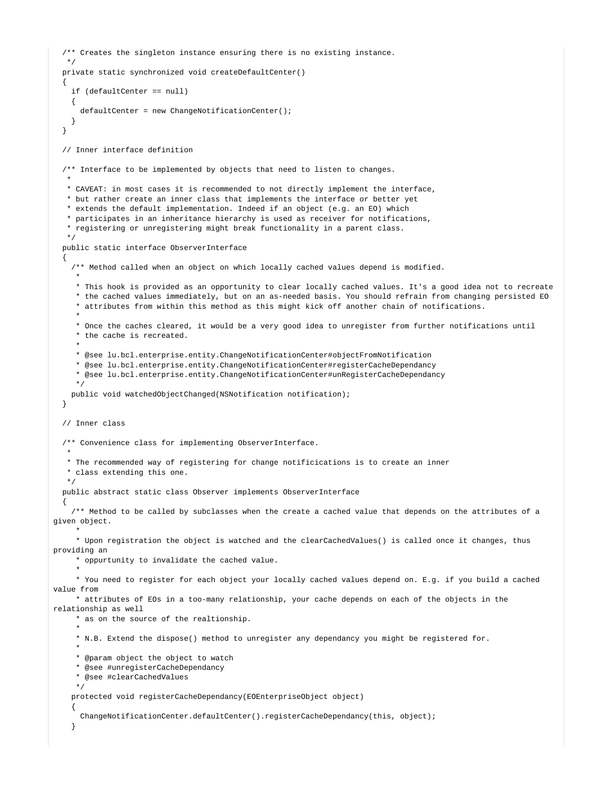```
 /** Creates the singleton instance ensuring there is no existing instance.
 */
  private static synchronized void createDefaultCenter()
   {
    if (defaultCenter == null)
    {
      defaultCenter = new ChangeNotificationCenter();
 }
  }
   // Inner interface definition
   /** Interface to be implemented by objects that need to listen to changes.
***
   * CAVEAT: in most cases it is recommended to not directly implement the interface,
   * but rather create an inner class that implements the interface or better yet
   * extends the default implementation. Indeed if an object (e.g. an EO) which
   * participates in an inheritance hierarchy is used as receiver for notifications,
    * registering or unregistering might break functionality in a parent class.
   */
  public static interface ObserverInterface
   {
    /** Method called when an object on which locally cached values depend is modified.
 *
     * This hook is provided as an opportunity to clear locally cached values. It's a good idea not to recreate
     * the cached values immediately, but on an as-needed basis. You should refrain from changing persisted EO
     * attributes from within this method as this might kick off another chain of notifications.
 *
     * Once the caches cleared, it would be a very good idea to unregister from further notifications until
     * the cache is recreated.
 *
     * @see lu.bcl.enterprise.entity.ChangeNotificationCenter#objectFromNotification
     * @see lu.bcl.enterprise.entity.ChangeNotificationCenter#registerCacheDependancy
     * @see lu.bcl.enterprise.entity.ChangeNotificationCenter#unRegisterCacheDependancy
     */
    public void watchedObjectChanged(NSNotification notification);
  }
  // Inner class
  /** Convenience class for implementing ObserverInterface.
***
   * The recommended way of registering for change notificications is to create an inner
   * class extending this one.
   */
  public abstract static class Observer implements ObserverInterface
 {
    /** Method to be called by subclasses when the create a cached value that depends on the attributes of a 
given object.
 *
     * Upon registration the object is watched and the clearCachedValues() is called once it changes, thus 
providing an
      * oppurtunity to invalidate the cached value.
 *
     * You need to register for each object your locally cached values depend on. E.g. if you build a cached 
value from
     * attributes of EOs in a too-many relationship, your cache depends on each of the objects in the 
relationship as well
     * as on the source of the realtionship.
 *
     * N.B. Extend the dispose() method to unregister any dependancy you might be registered for.
 *
     * @param object the object to watch
     * @see #unregisterCacheDependancy
      * @see #clearCachedValues
 */
    protected void registerCacheDependancy(EOEnterpriseObject object)
\{ ChangeNotificationCenter.defaultCenter().registerCacheDependancy(this, object);
     }
```